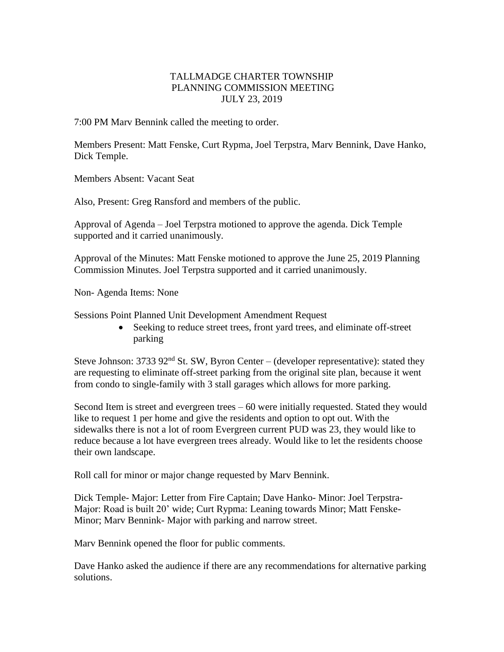## TALLMADGE CHARTER TOWNSHIP PLANNING COMMISSION MEETING JULY 23, 2019

7:00 PM Marv Bennink called the meeting to order.

Members Present: Matt Fenske, Curt Rypma, Joel Terpstra, Marv Bennink, Dave Hanko, Dick Temple.

Members Absent: Vacant Seat

Also, Present: Greg Ransford and members of the public.

Approval of Agenda – Joel Terpstra motioned to approve the agenda. Dick Temple supported and it carried unanimously.

Approval of the Minutes: Matt Fenske motioned to approve the June 25, 2019 Planning Commission Minutes. Joel Terpstra supported and it carried unanimously.

Non- Agenda Items: None

Sessions Point Planned Unit Development Amendment Request

• Seeking to reduce street trees, front yard trees, and eliminate off-street parking

Steve Johnson: 3733 92<sup>nd</sup> St. SW, Byron Center – (developer representative): stated they are requesting to eliminate off-street parking from the original site plan, because it went from condo to single-family with 3 stall garages which allows for more parking.

Second Item is street and evergreen trees – 60 were initially requested. Stated they would like to request 1 per home and give the residents and option to opt out. With the sidewalks there is not a lot of room Evergreen current PUD was 23, they would like to reduce because a lot have evergreen trees already. Would like to let the residents choose their own landscape.

Roll call for minor or major change requested by Marv Bennink.

Dick Temple- Major: Letter from Fire Captain; Dave Hanko- Minor: Joel Terpstra-Major: Road is built 20' wide; Curt Rypma: Leaning towards Minor; Matt Fenske-Minor; Marv Bennink- Major with parking and narrow street.

Marv Bennink opened the floor for public comments.

Dave Hanko asked the audience if there are any recommendations for alternative parking solutions.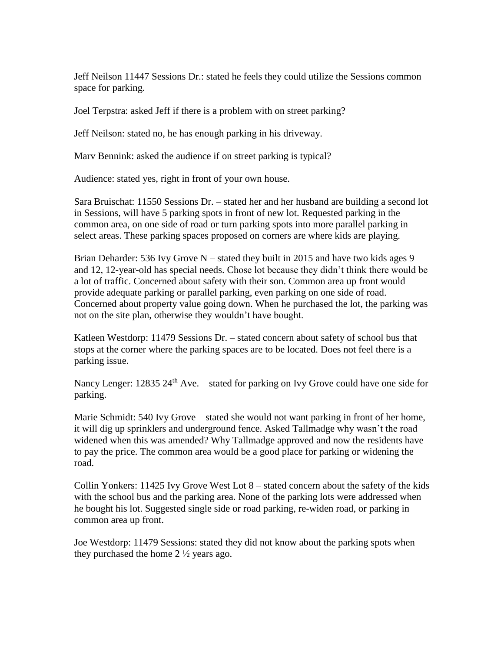Jeff Neilson 11447 Sessions Dr.: stated he feels they could utilize the Sessions common space for parking.

Joel Terpstra: asked Jeff if there is a problem with on street parking?

Jeff Neilson: stated no, he has enough parking in his driveway.

Marv Bennink: asked the audience if on street parking is typical?

Audience: stated yes, right in front of your own house.

Sara Bruischat: 11550 Sessions Dr. – stated her and her husband are building a second lot in Sessions, will have 5 parking spots in front of new lot. Requested parking in the common area, on one side of road or turn parking spots into more parallel parking in select areas. These parking spaces proposed on corners are where kids are playing.

Brian Deharder: 536 Ivy Grove N – stated they built in 2015 and have two kids ages 9 and 12, 12-year-old has special needs. Chose lot because they didn't think there would be a lot of traffic. Concerned about safety with their son. Common area up front would provide adequate parking or parallel parking, even parking on one side of road. Concerned about property value going down. When he purchased the lot, the parking was not on the site plan, otherwise they wouldn't have bought.

Katleen Westdorp: 11479 Sessions Dr. – stated concern about safety of school bus that stops at the corner where the parking spaces are to be located. Does not feel there is a parking issue.

Nancy Lenger: 12835 24<sup>th</sup> Ave. – stated for parking on Ivy Grove could have one side for parking.

Marie Schmidt: 540 Ivy Grove – stated she would not want parking in front of her home, it will dig up sprinklers and underground fence. Asked Tallmadge why wasn't the road widened when this was amended? Why Tallmadge approved and now the residents have to pay the price. The common area would be a good place for parking or widening the road.

Collin Yonkers: 11425 Ivy Grove West Lot 8 – stated concern about the safety of the kids with the school bus and the parking area. None of the parking lots were addressed when he bought his lot. Suggested single side or road parking, re-widen road, or parking in common area up front.

Joe Westdorp: 11479 Sessions: stated they did not know about the parking spots when they purchased the home 2 ½ years ago.